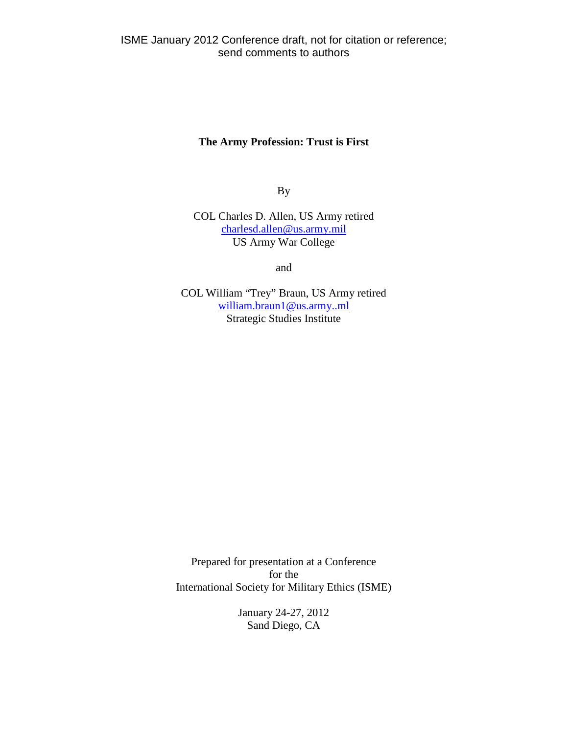# **The Army Profession: Trust is First**

By

COL Charles D. Allen, US Army retired [charlesd.allen@us.army.mil](mailto:charlesd.allen@us.army.mil) US Army War College

and

COL William "Trey" Braun, US Army retired [william.braun1@us.army..ml](mailto:william.braun1@us.army..ml) Strategic Studies Institute

Prepared for presentation at a Conference for the International Society for Military Ethics (ISME)

> January 24-27, 2012 Sand Diego, CA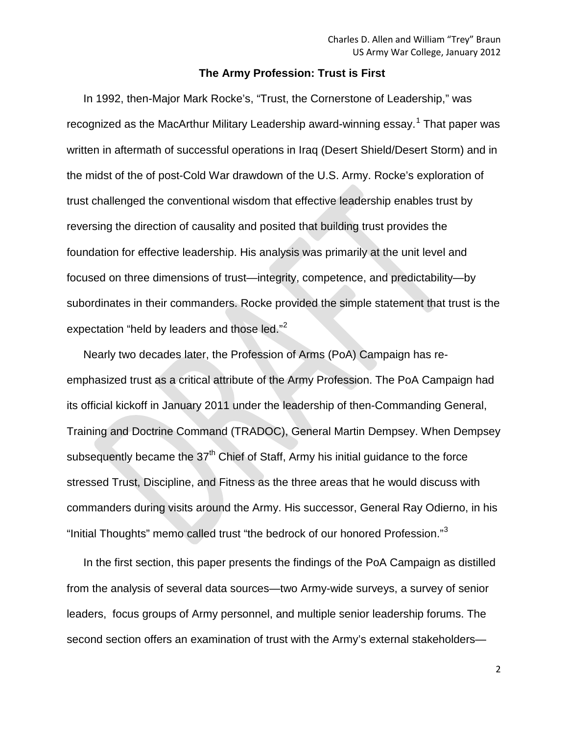## **The Army Profession: Trust is First**

In 1992, then-Major Mark Rocke's, "Trust, the Cornerstone of Leadership," was recognized as the MacArthur Military Leadership award-winning essay.<sup>[1](#page-30-0)</sup> That paper was written in aftermath of successful operations in Iraq (Desert Shield/Desert Storm) and in the midst of the of post-Cold War drawdown of the U.S. Army. Rocke's exploration of trust challenged the conventional wisdom that effective leadership enables trust by reversing the direction of causality and posited that building trust provides the foundation for effective leadership. His analysis was primarily at the unit level and focused on three dimensions of trust—integrity, competence, and predictability—by subordinates in their commanders. Rocke provided the simple statement that trust is the expectation "held by leaders and those led."<sup>[2](#page-30-1)</sup>

Nearly two decades later, the Profession of Arms (PoA) Campaign has reemphasized trust as a critical attribute of the Army Profession. The PoA Campaign had its official kickoff in January 2011 under the leadership of then-Commanding General, Training and Doctrine Command (TRADOC), General Martin Dempsey. When Dempsey subsequently became the 37<sup>th</sup> Chief of Staff, Army his initial guidance to the force stressed Trust, Discipline, and Fitness as the three areas that he would discuss with commanders during visits around the Army. His successor, General Ray Odierno, in his "Initial Thoughts" memo called trust "the bedrock of our honored Profession."[3](#page-30-2)

In the first section, this paper presents the findings of the PoA Campaign as distilled from the analysis of several data sources—two Army-wide surveys, a survey of senior leaders, focus groups of Army personnel, and multiple senior leadership forums. The second section offers an examination of trust with the Army's external stakeholders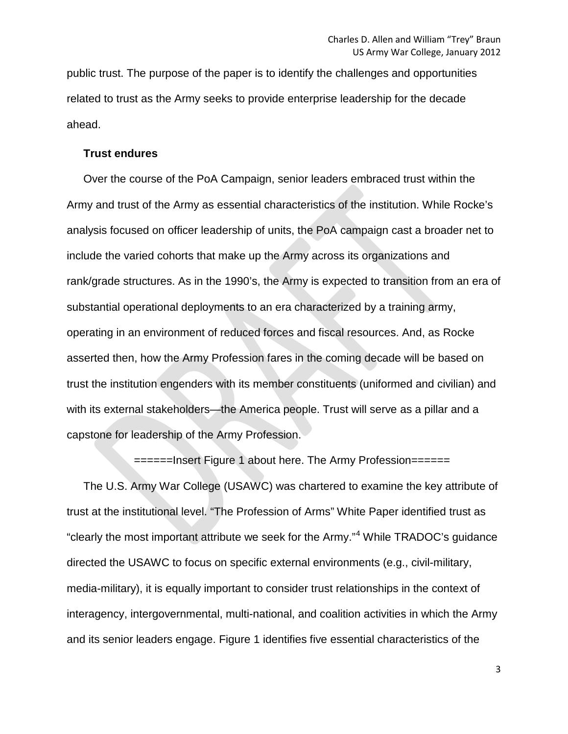public trust. The purpose of the paper is to identify the challenges and opportunities related to trust as the Army seeks to provide enterprise leadership for the decade ahead.

# **Trust endures**

Over the course of the PoA Campaign, senior leaders embraced trust within the Army and trust of the Army as essential characteristics of the institution. While Rocke's analysis focused on officer leadership of units, the PoA campaign cast a broader net to include the varied cohorts that make up the Army across its organizations and rank/grade structures. As in the 1990's, the Army is expected to transition from an era of substantial operational deployments to an era characterized by a training army, operating in an environment of reduced forces and fiscal resources. And, as Rocke asserted then, how the Army Profession fares in the coming decade will be based on trust the institution engenders with its member constituents (uniformed and civilian) and with its external stakeholders—the America people. Trust will serve as a pillar and a capstone for leadership of the Army Profession.

======Insert Figure 1 about here. The Army Profession======

The U.S. Army War College (USAWC) was chartered to examine the key attribute of trust at the institutional level. "The Profession of Arms" White Paper identified trust as "clearly the most important attribute we seek for the Army."<sup>[4](#page-30-3)</sup> While TRADOC's guidance directed the USAWC to focus on specific external environments (e.g., civil-military, media-military), it is equally important to consider trust relationships in the context of interagency, intergovernmental, multi-national, and coalition activities in which the Army and its senior leaders engage. Figure 1 identifies five essential characteristics of the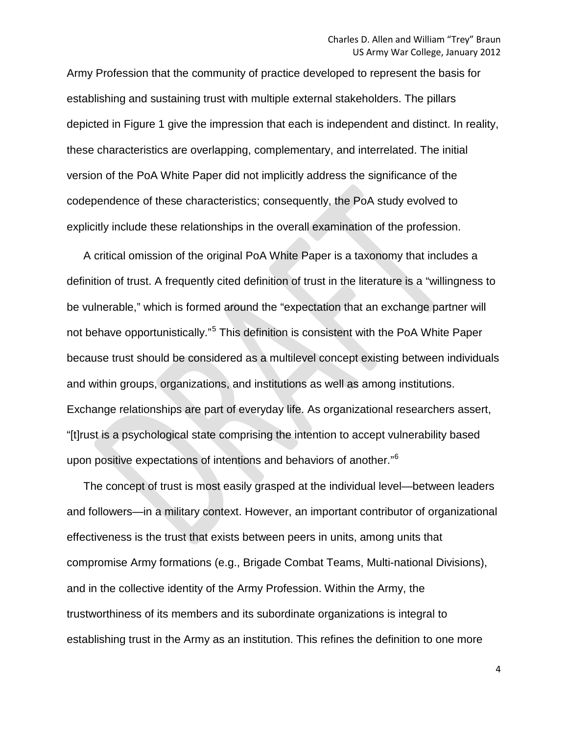Army Profession that the community of practice developed to represent the basis for establishing and sustaining trust with multiple external stakeholders. The pillars depicted in Figure 1 give the impression that each is independent and distinct. In reality, these characteristics are overlapping, complementary, and interrelated. The initial version of the PoA White Paper did not implicitly address the significance of the codependence of these characteristics; consequently, the PoA study evolved to explicitly include these relationships in the overall examination of the profession.

A critical omission of the original PoA White Paper is a taxonomy that includes a definition of trust. A frequently cited definition of trust in the literature is a "willingness to be vulnerable," which is formed around the "expectation that an exchange partner will not behave opportunistically."[5](#page-31-0) This definition is consistent with the PoA White Paper because trust should be considered as a multilevel concept existing between individuals and within groups, organizations, and institutions as well as among institutions. Exchange relationships are part of everyday life. As organizational researchers assert, "[t]rust is a psychological state comprising the intention to accept vulnerability based upon positive expectations of intentions and behaviors of another."[6](#page-31-1)

The concept of trust is most easily grasped at the individual level—between leaders and followers—in a military context. However, an important contributor of organizational effectiveness is the trust that exists between peers in units, among units that compromise Army formations (e.g., Brigade Combat Teams, Multi-national Divisions), and in the collective identity of the Army Profession. Within the Army, the trustworthiness of its members and its subordinate organizations is integral to establishing trust in the Army as an institution. This refines the definition to one more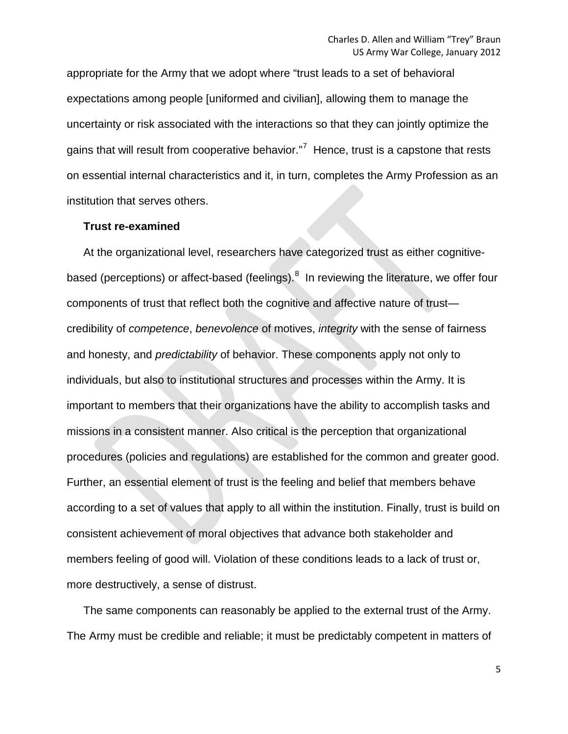appropriate for the Army that we adopt where "trust leads to a set of behavioral expectations among people [uniformed and civilian], allowing them to manage the uncertainty or risk associated with the interactions so that they can jointly optimize the gains that will result from cooperative behavior."<sup>[7](#page-31-2)</sup> Hence, trust is a capstone that rests on essential internal characteristics and it, in turn, completes the Army Profession as an institution that serves others.

#### **Trust re-examined**

At the organizational level, researchers have categorized trust as either cognitive-based (perceptions) or affect-based (feelings).<sup>[8](#page-31-3)</sup> In reviewing the literature, we offer four components of trust that reflect both the cognitive and affective nature of trust credibility of *competence*, *benevolence* of motives, *integrity* with the sense of fairness and honesty, and *predictability* of behavior. These components apply not only to individuals, but also to institutional structures and processes within the Army. It is important to members that their organizations have the ability to accomplish tasks and missions in a consistent manner. Also critical is the perception that organizational procedures (policies and regulations) are established for the common and greater good. Further, an essential element of trust is the feeling and belief that members behave according to a set of values that apply to all within the institution. Finally, trust is build on consistent achievement of moral objectives that advance both stakeholder and members feeling of good will. Violation of these conditions leads to a lack of trust or, more destructively, a sense of distrust.

The same components can reasonably be applied to the external trust of the Army. The Army must be credible and reliable; it must be predictably competent in matters of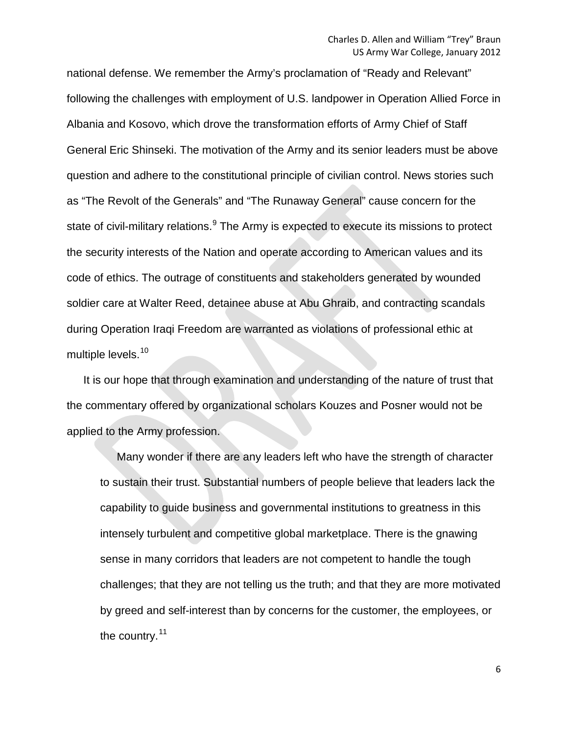national defense. We remember the Army's proclamation of "Ready and Relevant" following the challenges with employment of U.S. landpower in Operation Allied Force in Albania and Kosovo, which drove the transformation efforts of Army Chief of Staff General Eric Shinseki. The motivation of the Army and its senior leaders must be above question and adhere to the constitutional principle of civilian control. News stories such as "The Revolt of the Generals" and "The Runaway General" cause concern for the state of civil-military relations.<sup>[9](#page-31-4)</sup> The Army is expected to execute its missions to protect the security interests of the Nation and operate according to American values and its code of ethics. The outrage of constituents and stakeholders generated by wounded soldier care at Walter Reed, detainee abuse at Abu Ghraib, and contracting scandals during Operation Iraqi Freedom are warranted as violations of professional ethic at multiple levels. [10](#page-31-5)

It is our hope that through examination and understanding of the nature of trust that the commentary offered by organizational scholars Kouzes and Posner would not be applied to the Army profession.

Many wonder if there are any leaders left who have the strength of character to sustain their trust. Substantial numbers of people believe that leaders lack the capability to guide business and governmental institutions to greatness in this intensely turbulent and competitive global marketplace. There is the gnawing sense in many corridors that leaders are not competent to handle the tough challenges; that they are not telling us the truth; and that they are more motivated by greed and self-interest than by concerns for the customer, the employees, or the country.<sup>[11](#page-31-6)</sup>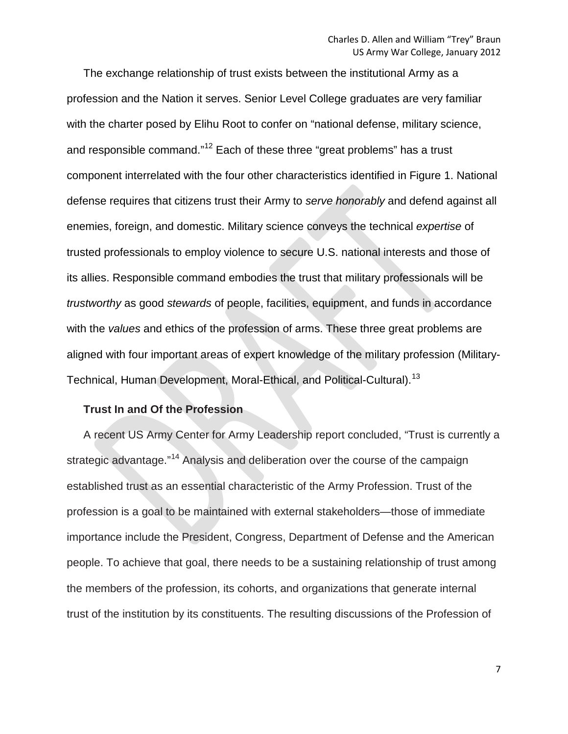The exchange relationship of trust exists between the institutional Army as a profession and the Nation it serves. Senior Level College graduates are very familiar with the charter posed by Elihu Root to confer on "national defense, military science, and responsible command."[12](#page-31-7) Each of these three "great problems" has a trust component interrelated with the four other characteristics identified in Figure 1. National defense requires that citizens trust their Army to *serve honorably* and defend against all enemies, foreign, and domestic. Military science conveys the technical *expertise* of trusted professionals to employ violence to secure U.S. national interests and those of its allies. Responsible command embodies the trust that military professionals will be *trustworthy* as good *stewards* of people, facilities, equipment, and funds in accordance with the *values* and ethics of the profession of arms. These three great problems are aligned with four important areas of expert knowledge of the military profession (Military-Technical, Human Development, Moral-Ethical, and Political-Cultural).[13](#page-31-8)

## **Trust In and Of the Profession**

A recent US Army Center for Army Leadership report concluded, "Trust is currently a strategic advantage."<sup>[14](#page-31-9)</sup> Analysis and deliberation over the course of the campaign established trust as an essential characteristic of the Army Profession. Trust of the profession is a goal to be maintained with external stakeholders—those of immediate importance include the President, Congress, Department of Defense and the American people. To achieve that goal, there needs to be a sustaining relationship of trust among the members of the profession, its cohorts, and organizations that generate internal trust of the institution by its constituents. The resulting discussions of the Profession of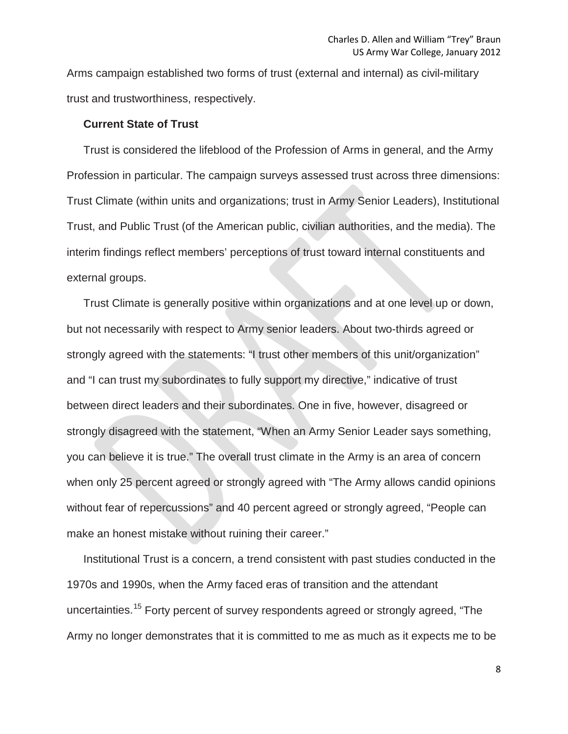Arms campaign established two forms of trust (external and internal) as civil-military trust and trustworthiness, respectively.

# **Current State of Trust**

Trust is considered the lifeblood of the Profession of Arms in general, and the Army Profession in particular. The campaign surveys assessed trust across three dimensions: Trust Climate (within units and organizations; trust in Army Senior Leaders), Institutional Trust, and Public Trust (of the American public, civilian authorities, and the media). The interim findings reflect members' perceptions of trust toward internal constituents and external groups.

Trust Climate is generally positive within organizations and at one level up or down, but not necessarily with respect to Army senior leaders. About two-thirds agreed or strongly agreed with the statements: "I trust other members of this unit/organization" and "I can trust my subordinates to fully support my directive," indicative of trust between direct leaders and their subordinates. One in five, however, disagreed or strongly disagreed with the statement, "When an Army Senior Leader says something, you can believe it is true." The overall trust climate in the Army is an area of concern when only 25 percent agreed or strongly agreed with "The Army allows candid opinions without fear of repercussions" and 40 percent agreed or strongly agreed, "People can make an honest mistake without ruining their career."

Institutional Trust is a concern, a trend consistent with past studies conducted in the 1970s and 1990s, when the Army faced eras of transition and the attendant uncertainties.[15](#page-31-10) Forty percent of survey respondents agreed or strongly agreed, "The Army no longer demonstrates that it is committed to me as much as it expects me to be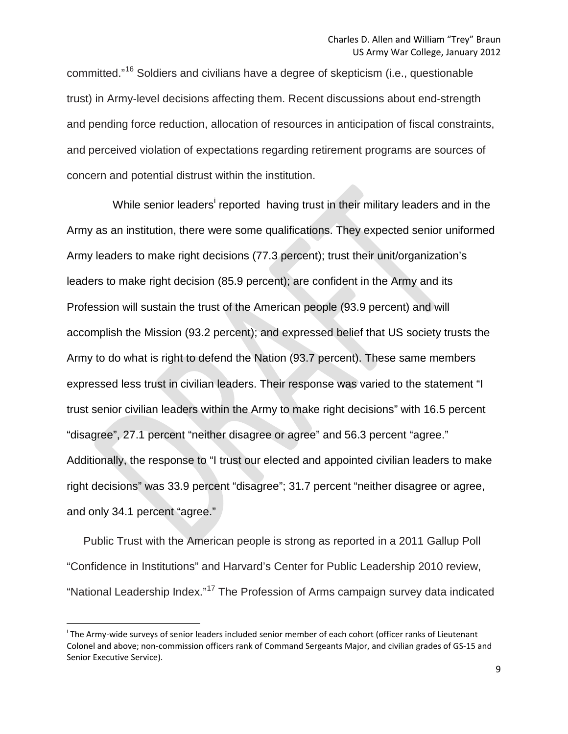committed."[16](#page-31-11) Soldiers and civilians have a degree of skepticism (i.e., questionable trust) in Army-level decisions affecting them. Recent discussions about end-strength and pending force reduction, allocation of resources in anticipation of fiscal constraints, and perceived violation of expectations regarding retirement programs are sources of concern and potential distrust within the institution.

Wh[i](#page-8-0)le senior leaders<sup>i</sup> reported having trust in their military leaders and in the Army as an institution, there were some qualifications. They expected senior uniformed Army leaders to make right decisions (77.3 percent); trust their unit/organization's leaders to make right decision (85.9 percent); are confident in the Army and its Profession will sustain the trust of the American people (93.9 percent) and will accomplish the Mission (93.2 percent); and expressed belief that US society trusts the Army to do what is right to defend the Nation (93.7 percent). These same members expressed less trust in civilian leaders. Their response was varied to the statement "I trust senior civilian leaders within the Army to make right decisions" with 16.5 percent "disagree", 27.1 percent "neither disagree or agree" and 56.3 percent "agree." Additionally, the response to "I trust our elected and appointed civilian leaders to make right decisions" was 33.9 percent "disagree"; 31.7 percent "neither disagree or agree, and only 34.1 percent "agree."

Public Trust with the American people is strong as reported in a 2011 Gallup Poll "Confidence in Institutions" and Harvard's Center for Public Leadership 2010 review, "National Leadership Index."[17](#page-31-12) The Profession of Arms campaign survey data indicated

<span id="page-8-0"></span>i <sup>1</sup> The Army-wide surveys of senior leaders included senior member of each cohort (officer ranks of Lieutenant Colonel and above; non-commission officers rank of Command Sergeants Major, and civilian grades of GS-15 and Senior Executive Service).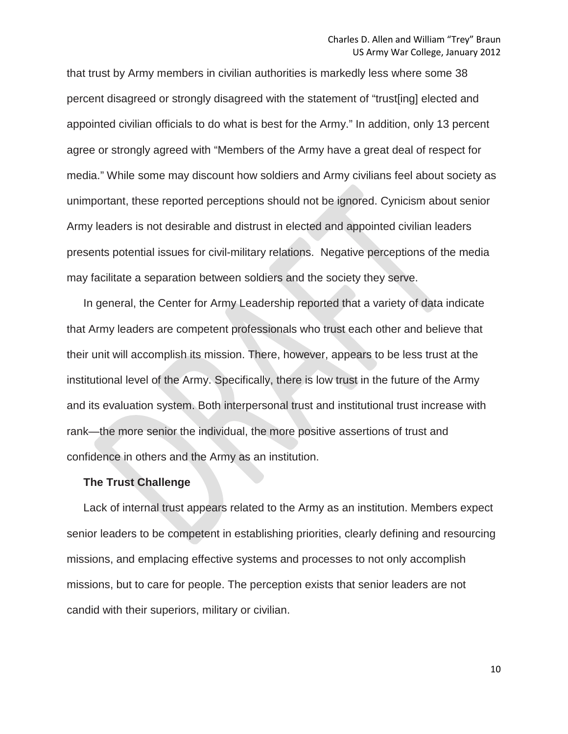that trust by Army members in civilian authorities is markedly less where some 38 percent disagreed or strongly disagreed with the statement of "trust[ing] elected and appointed civilian officials to do what is best for the Army." In addition, only 13 percent agree or strongly agreed with "Members of the Army have a great deal of respect for media." While some may discount how soldiers and Army civilians feel about society as unimportant, these reported perceptions should not be ignored. Cynicism about senior Army leaders is not desirable and distrust in elected and appointed civilian leaders presents potential issues for civil-military relations. Negative perceptions of the media may facilitate a separation between soldiers and the society they serve.

In general, the Center for Army Leadership reported that a variety of data indicate that Army leaders are competent professionals who trust each other and believe that their unit will accomplish its mission. There, however, appears to be less trust at the institutional level of the Army. Specifically, there is low trust in the future of the Army and its evaluation system. Both interpersonal trust and institutional trust increase with rank—the more senior the individual, the more positive assertions of trust and confidence in others and the Army as an institution.

#### **The Trust Challenge**

Lack of internal trust appears related to the Army as an institution. Members expect senior leaders to be competent in establishing priorities, clearly defining and resourcing missions, and emplacing effective systems and processes to not only accomplish missions, but to care for people. The perception exists that senior leaders are not candid with their superiors, military or civilian.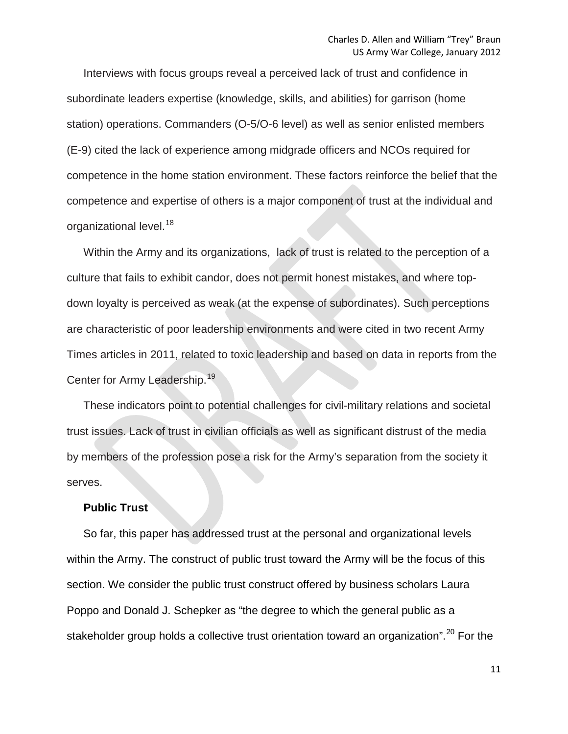Interviews with focus groups reveal a perceived lack of trust and confidence in subordinate leaders expertise (knowledge, skills, and abilities) for garrison (home station) operations. Commanders (O-5/O-6 level) as well as senior enlisted members (E-9) cited the lack of experience among midgrade officers and NCOs required for competence in the home station environment. These factors reinforce the belief that the competence and expertise of others is a major component of trust at the individual and organizational level.<sup>[18](#page-31-13)</sup>

Within the Army and its organizations, lack of trust is related to the perception of a culture that fails to exhibit candor, does not permit honest mistakes, and where topdown loyalty is perceived as weak (at the expense of subordinates). Such perceptions are characteristic of poor leadership environments and were cited in two recent Army Times articles in 2011, related to toxic leadership and based on data in reports from the Center for Army Leadership.[19](#page-31-14)

These indicators point to potential challenges for civil-military relations and societal trust issues. Lack of trust in civilian officials as well as significant distrust of the media by members of the profession pose a risk for the Army's separation from the society it serves.

#### **Public Trust**

So far, this paper has addressed trust at the personal and organizational levels within the Army. The construct of public trust toward the Army will be the focus of this section. We consider the public trust construct offered by business scholars Laura Poppo and Donald J. Schepker as "the degree to which the general public as a stakeholder group holds a collective trust orientation toward an organization".<sup>[20](#page-31-15)</sup> For the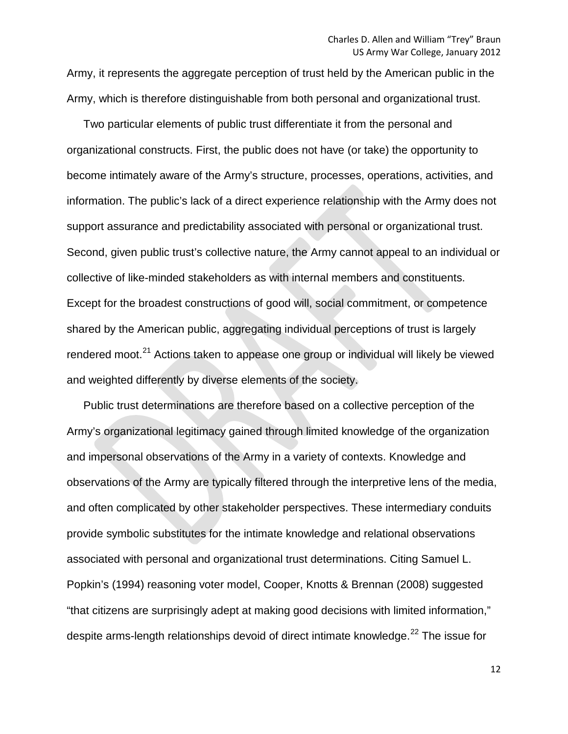Army, it represents the aggregate perception of trust held by the American public in the Army, which is therefore distinguishable from both personal and organizational trust.

Two particular elements of public trust differentiate it from the personal and organizational constructs. First, the public does not have (or take) the opportunity to become intimately aware of the Army's structure, processes, operations, activities, and information. The public's lack of a direct experience relationship with the Army does not support assurance and predictability associated with personal or organizational trust. Second, given public trust's collective nature, the Army cannot appeal to an individual or collective of like-minded stakeholders as with internal members and constituents. Except for the broadest constructions of good will, social commitment, or competence shared by the American public, aggregating individual perceptions of trust is largely rendered moot.<sup>[21](#page-31-16)</sup> Actions taken to appease one group or individual will likely be viewed and weighted differently by diverse elements of the society.

Public trust determinations are therefore based on a collective perception of the Army's organizational legitimacy gained through limited knowledge of the organization and impersonal observations of the Army in a variety of contexts. Knowledge and observations of the Army are typically filtered through the interpretive lens of the media, and often complicated by other stakeholder perspectives. These intermediary conduits provide symbolic substitutes for the intimate knowledge and relational observations associated with personal and organizational trust determinations. Citing Samuel L. Popkin's (1994) reasoning voter model, Cooper, Knotts & Brennan (2008) suggested "that citizens are surprisingly adept at making good decisions with limited information," despite arms-length relationships devoid of direct intimate knowledge.<sup>[22](#page-31-17)</sup> The issue for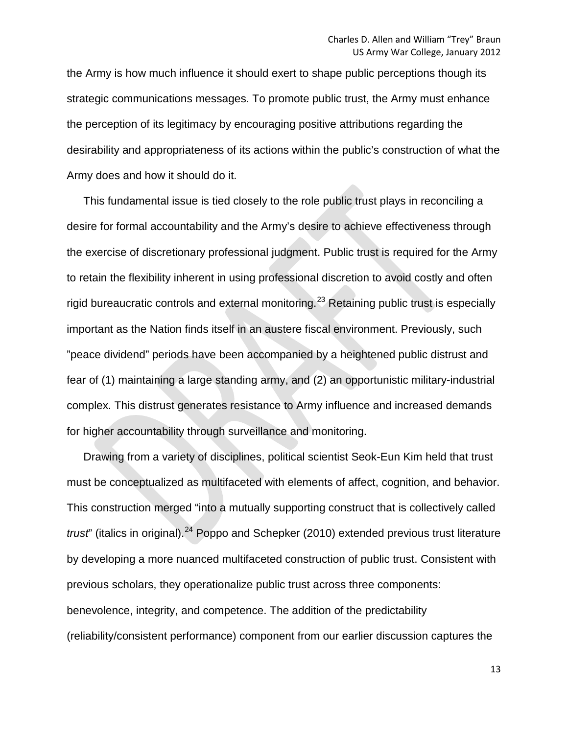the Army is how much influence it should exert to shape public perceptions though its strategic communications messages. To promote public trust, the Army must enhance the perception of its legitimacy by encouraging positive attributions regarding the desirability and appropriateness of its actions within the public's construction of what the Army does and how it should do it.

This fundamental issue is tied closely to the role public trust plays in reconciling a desire for formal accountability and the Army's desire to achieve effectiveness through the exercise of discretionary professional judgment. Public trust is required for the Army to retain the flexibility inherent in using professional discretion to avoid costly and often rigid bureaucratic controls and external monitoring.<sup>[23](#page-31-18)</sup> Retaining public trust is especially important as the Nation finds itself in an austere fiscal environment. Previously, such "peace dividend" periods have been accompanied by a heightened public distrust and fear of (1) maintaining a large standing army, and (2) an opportunistic military-industrial complex. This distrust generates resistance to Army influence and increased demands for higher accountability through surveillance and monitoring.

Drawing from a variety of disciplines, political scientist Seok-Eun Kim held that trust must be conceptualized as multifaceted with elements of affect, cognition, and behavior. This construction merged "into a mutually supporting construct that is collectively called *trust*" (italics in original).<sup>[24](#page-31-19)</sup> Poppo and Schepker (2010) extended previous trust literature by developing a more nuanced multifaceted construction of public trust. Consistent with previous scholars, they operationalize public trust across three components: benevolence, integrity, and competence. The addition of the predictability (reliability/consistent performance) component from our earlier discussion captures the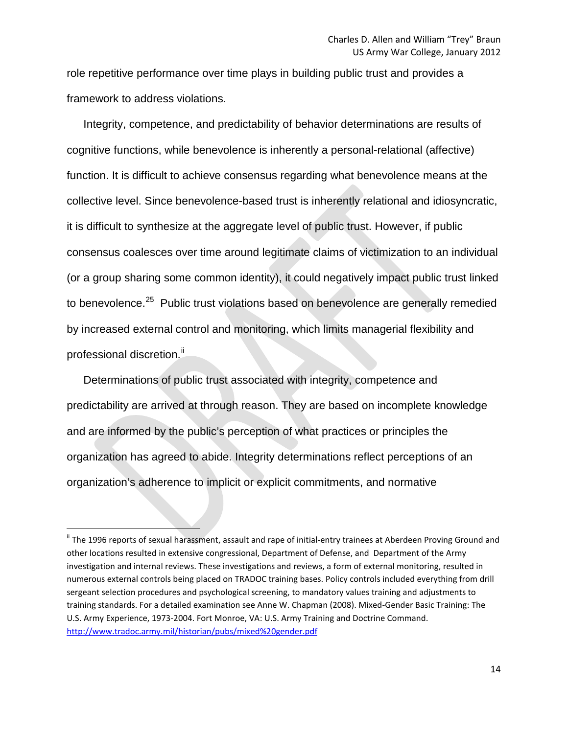role repetitive performance over time plays in building public trust and provides a framework to address violations.

Integrity, competence, and predictability of behavior determinations are results of cognitive functions, while benevolence is inherently a personal-relational (affective) function. It is difficult to achieve consensus regarding what benevolence means at the collective level. Since benevolence-based trust is inherently relational and idiosyncratic, it is difficult to synthesize at the aggregate level of public trust. However, if public consensus coalesces over time around legitimate claims of victimization to an individual (or a group sharing some common identity), it could negatively impact public trust linked to benevolence.<sup>[25](#page-31-20)</sup> Public trust violations based on benevolence are generally remedied by increased external control and monitoring, which limits managerial flexibility and professional discretion.<sup>[ii](#page-13-0)</sup>

Determinations of public trust associated with integrity, competence and predictability are arrived at through reason. They are based on incomplete knowledge and are informed by the public's perception of what practices or principles the organization has agreed to abide. Integrity determinations reflect perceptions of an organization's adherence to implicit or explicit commitments, and normative

<span id="page-13-0"></span>ii The 1996 reports of sexual harassment, assault and rape of initial-entry trainees at Aberdeen Proving Ground and other locations resulted in extensive congressional, Department of Defense, and Department of the Army investigation and internal reviews. These investigations and reviews, a form of external monitoring, resulted in numerous external controls being placed on TRADOC training bases. Policy controls included everything from drill sergeant selection procedures and psychological screening, to mandatory values training and adjustments to training standards. For a detailed examination see Anne W. Chapman (2008). Mixed-Gender Basic Training: The U.S. Army Experience, 1973-2004. Fort Monroe, VA: U.S. Army Training and Doctrine Command. <http://www.tradoc.army.mil/historian/pubs/mixed%20gender.pdf>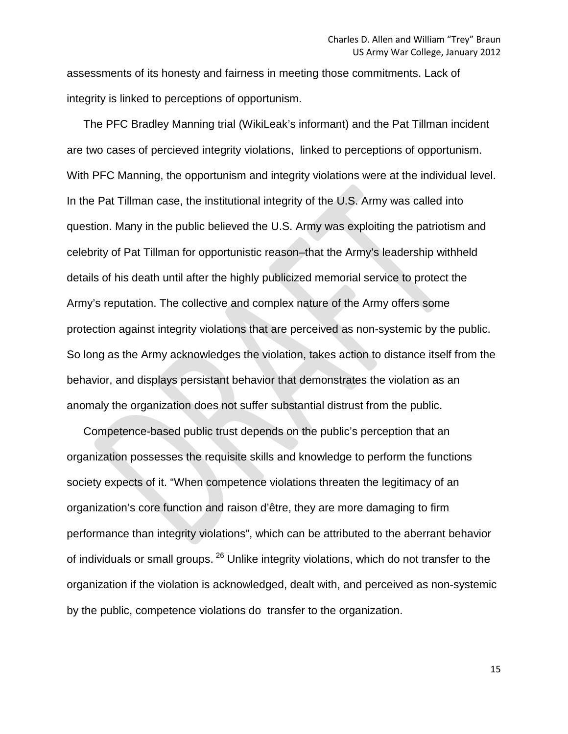assessments of its honesty and fairness in meeting those commitments. Lack of integrity is linked to perceptions of opportunism.

The PFC Bradley Manning trial (WikiLeak's informant) and the Pat Tillman incident are two cases of percieved integrity violations, linked to perceptions of opportunism. With PFC Manning, the opportunism and integrity violations were at the individual level. In the Pat Tillman case, the institutional integrity of the U.S. Army was called into question. Many in the public believed the U.S. Army was exploiting the patriotism and celebrity of Pat Tillman for opportunistic reason–that the Army's leadership withheld details of his death until after the highly publicized memorial service to protect the Army's reputation. The collective and complex nature of the Army offers some protection against integrity violations that are perceived as non-systemic by the public. So long as the Army acknowledges the violation, takes action to distance itself from the behavior, and displays persistant behavior that demonstrates the violation as an anomaly the organization does not suffer substantial distrust from the public.

Competence-based public trust depends on the public's perception that an organization possesses the requisite skills and knowledge to perform the functions society expects of it. "When competence violations threaten the legitimacy of an organization's core function and raison d'être, they are more damaging to firm performance than integrity violations", which can be attributed to the aberrant behavior of individuals or small groups. <sup>[26](#page-31-21)</sup> Unlike integrity violations, which do not transfer to the organization if the violation is acknowledged, dealt with, and perceived as non-systemic by the public, competence violations do transfer to the organization.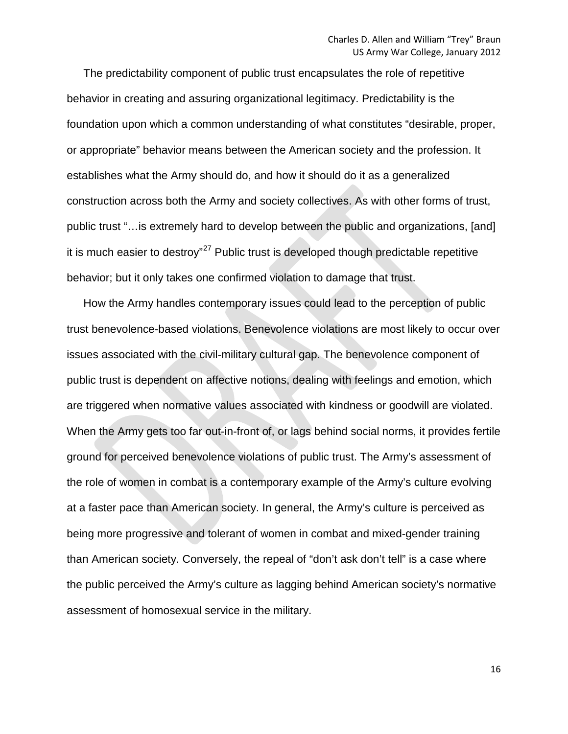The predictability component of public trust encapsulates the role of repetitive behavior in creating and assuring organizational legitimacy. Predictability is the foundation upon which a common understanding of what constitutes "desirable, proper, or appropriate" behavior means between the American society and the profession. It establishes what the Army should do, and how it should do it as a generalized construction across both the Army and society collectives. As with other forms of trust, public trust "…is extremely hard to develop between the public and organizations, [and] it is much easier to destroy"<sup>[27](#page-31-22)</sup> Public trust is developed though predictable repetitive behavior; but it only takes one confirmed violation to damage that trust.

How the Army handles contemporary issues could lead to the perception of public trust benevolence-based violations. Benevolence violations are most likely to occur over issues associated with the civil-military cultural gap. The benevolence component of public trust is dependent on affective notions, dealing with feelings and emotion, which are triggered when normative values associated with kindness or goodwill are violated. When the Army gets too far out-in-front of, or lags behind social norms, it provides fertile ground for perceived benevolence violations of public trust. The Army's assessment of the role of women in combat is a contemporary example of the Army's culture evolving at a faster pace than American society. In general, the Army's culture is perceived as being more progressive and tolerant of women in combat and mixed-gender training than American society. Conversely, the repeal of "don't ask don't tell" is a case where the public perceived the Army's culture as lagging behind American society's normative assessment of homosexual service in the military.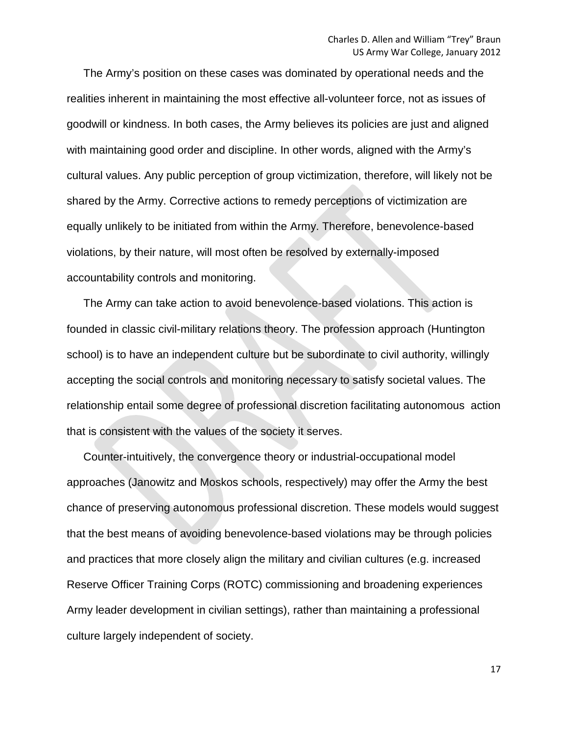The Army's position on these cases was dominated by operational needs and the realities inherent in maintaining the most effective all-volunteer force, not as issues of goodwill or kindness. In both cases, the Army believes its policies are just and aligned with maintaining good order and discipline. In other words, aligned with the Army's cultural values. Any public perception of group victimization, therefore, will likely not be shared by the Army. Corrective actions to remedy perceptions of victimization are equally unlikely to be initiated from within the Army. Therefore, benevolence-based violations, by their nature, will most often be resolved by externally-imposed accountability controls and monitoring.

The Army can take action to avoid benevolence-based violations. This action is founded in classic civil-military relations theory. The profession approach (Huntington school) is to have an independent culture but be subordinate to civil authority, willingly accepting the social controls and monitoring necessary to satisfy societal values. The relationship entail some degree of professional discretion facilitating autonomous action that is consistent with the values of the society it serves.

Counter-intuitively, the convergence theory or industrial-occupational model approaches (Janowitz and Moskos schools, respectively) may offer the Army the best chance of preserving autonomous professional discretion. These models would suggest that the best means of avoiding benevolence-based violations may be through policies and practices that more closely align the military and civilian cultures (e.g. increased Reserve Officer Training Corps (ROTC) commissioning and broadening experiences Army leader development in civilian settings), rather than maintaining a professional culture largely independent of society.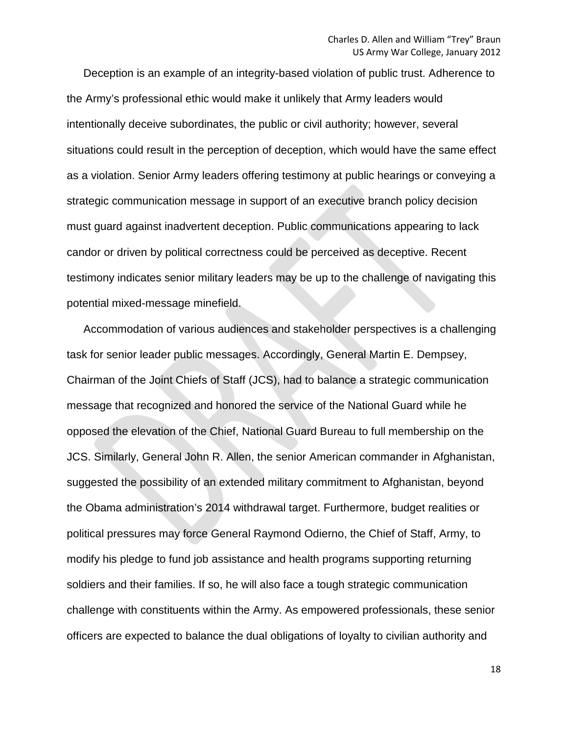Deception is an example of an integrity-based violation of public trust. Adherence to the Army's professional ethic would make it unlikely that Army leaders would intentionally deceive subordinates, the public or civil authority; however, several situations could result in the perception of deception, which would have the same effect as a violation. Senior Army leaders offering testimony at public hearings or conveying a strategic communication message in support of an executive branch policy decision must guard against inadvertent deception. Public communications appearing to lack candor or driven by political correctness could be perceived as deceptive. Recent testimony indicates senior military leaders may be up to the challenge of navigating this potential mixed-message minefield.

Accommodation of various audiences and stakeholder perspectives is a challenging task for senior leader public messages. Accordingly, General Martin E. Dempsey, Chairman of the Joint Chiefs of Staff (JCS), had to balance a strategic communication message that recognized and honored the service of the National Guard while he opposed the elevation of the Chief, National Guard Bureau to full membership on the JCS. Similarly, General John R. Allen, the senior American commander in Afghanistan, suggested the possibility of an extended military commitment to Afghanistan, beyond the Obama administration's 2014 withdrawal target. Furthermore, budget realities or political pressures may force General Raymond Odierno, the Chief of Staff, Army, to modify his pledge to fund job assistance and health programs supporting returning soldiers and their families. If so, he will also face a tough strategic communication challenge with constituents within the Army. As empowered professionals, these senior officers are expected to balance the dual obligations of loyalty to civilian authority and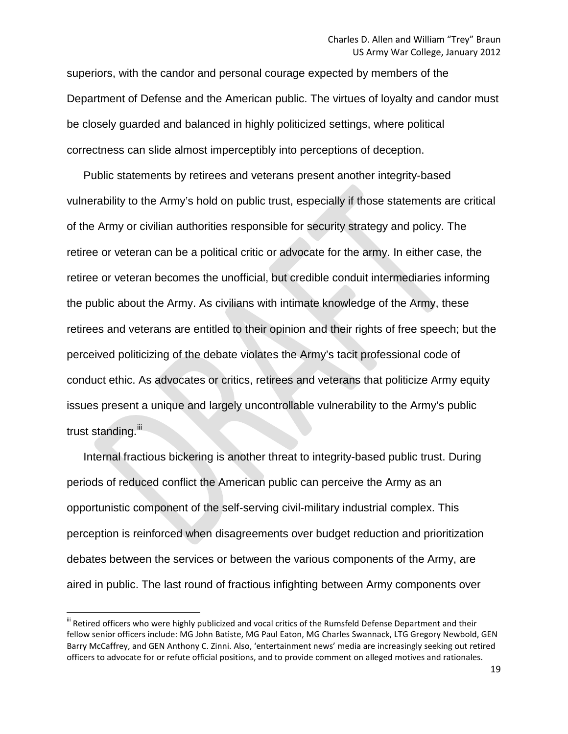superiors, with the candor and personal courage expected by members of the Department of Defense and the American public. The virtues of loyalty and candor must be closely guarded and balanced in highly politicized settings, where political correctness can slide almost imperceptibly into perceptions of deception.

Public statements by retirees and veterans present another integrity-based vulnerability to the Army's hold on public trust, especially if those statements are critical of the Army or civilian authorities responsible for security strategy and policy. The retiree or veteran can be a political critic or advocate for the army. In either case, the retiree or veteran becomes the unofficial, but credible conduit intermediaries informing the public about the Army. As civilians with intimate knowledge of the Army, these retirees and veterans are entitled to their opinion and their rights of free speech; but the perceived politicizing of the debate violates the Army's tacit professional code of conduct ethic. As advocates or critics, retirees and veterans that politicize Army equity issues present a unique and largely uncontrollable vulnerability to the Army's public trust standing.<sup>[iii](#page-18-0)</sup>

Internal fractious bickering is another threat to integrity-based public trust. During periods of reduced conflict the American public can perceive the Army as an opportunistic component of the self-serving civil-military industrial complex. This perception is reinforced when disagreements over budget reduction and prioritization debates between the services or between the various components of the Army, are aired in public. The last round of fractious infighting between Army components over

<span id="page-18-0"></span>III Retired officers who were highly publicized and vocal critics of the Rumsfeld Defense Department and their fellow senior officers include: MG John Batiste, MG Paul Eaton, MG Charles Swannack, LTG Gregory Newbold, GEN Barry McCaffrey, and GEN Anthony C. Zinni. Also, 'entertainment news' media are increasingly seeking out retired officers to advocate for or refute official positions, and to provide comment on alleged motives and rationales.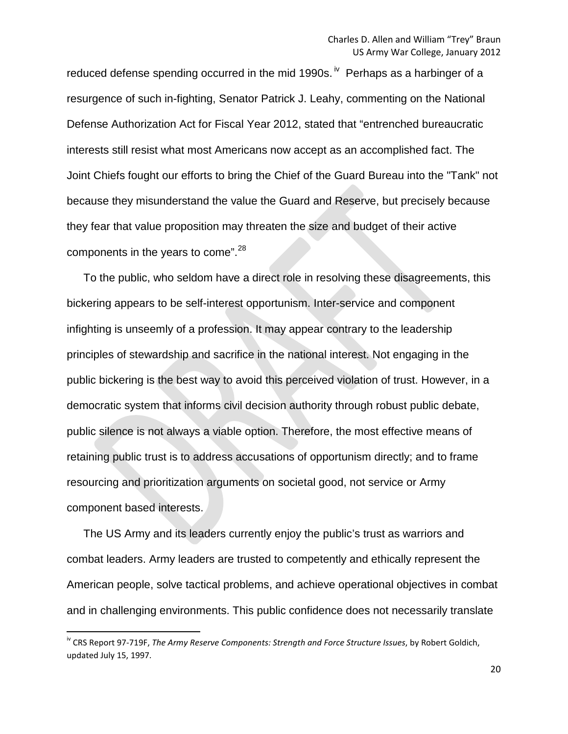reduced defense spending occurred in the mid 1990s. <sup>[iv](#page-19-0)</sup> Perhaps as a harbinger of a resurgence of such in-fighting, Senator Patrick J. Leahy, commenting on the National Defense Authorization Act for Fiscal Year 2012, stated that "entrenched bureaucratic interests still resist what most Americans now accept as an accomplished fact. The Joint Chiefs fought our efforts to bring the Chief of the Guard Bureau into the "Tank" not because they misunderstand the value the Guard and Reserve, but precisely because they fear that value proposition may threaten the size and budget of their active components in the years to come". $28$ 

To the public, who seldom have a direct role in resolving these disagreements, this bickering appears to be self-interest opportunism. Inter-service and component infighting is unseemly of a profession. It may appear contrary to the leadership principles of stewardship and sacrifice in the national interest. Not engaging in the public bickering is the best way to avoid this perceived violation of trust. However, in a democratic system that informs civil decision authority through robust public debate, public silence is not always a viable option. Therefore, the most effective means of retaining public trust is to address accusations of opportunism directly; and to frame resourcing and prioritization arguments on societal good, not service or Army component based interests.

The US Army and its leaders currently enjoy the public's trust as warriors and combat leaders. Army leaders are trusted to competently and ethically represent the American people, solve tactical problems, and achieve operational objectives in combat and in challenging environments. This public confidence does not necessarily translate

<span id="page-19-0"></span>iv CRS Report 97-719F, *The Army Reserve Components: Strength and Force Structure Issues*, by Robert Goldich, updated July 15, 1997.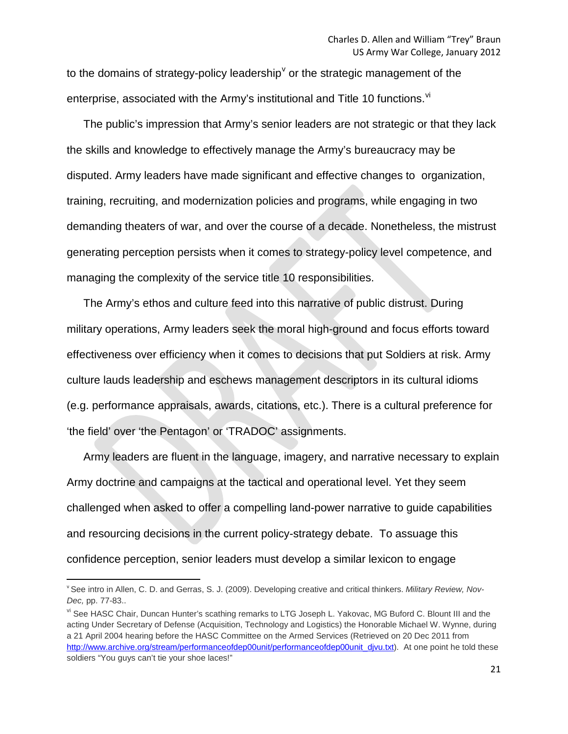to the domains of strategy-policy leadership<sup> $\vee$  $\vee$  $\vee$ </sup> or the strategic management of the enterprise, associated with the Army's institutional and Title 10 functions. <sup>[vi](#page-20-1)</sup>

The public's impression that Army's senior leaders are not strategic or that they lack the skills and knowledge to effectively manage the Army's bureaucracy may be disputed. Army leaders have made significant and effective changes to organization, training, recruiting, and modernization policies and programs, while engaging in two demanding theaters of war, and over the course of a decade. Nonetheless, the mistrust generating perception persists when it comes to strategy-policy level competence, and managing the complexity of the service title 10 responsibilities.

The Army's ethos and culture feed into this narrative of public distrust. During military operations, Army leaders seek the moral high-ground and focus efforts toward effectiveness over efficiency when it comes to decisions that put Soldiers at risk. Army culture lauds leadership and eschews management descriptors in its cultural idioms (e.g. performance appraisals, awards, citations, etc.). There is a cultural preference for 'the field' over 'the Pentagon' or 'TRADOC' assignments.

Army leaders are fluent in the language, imagery, and narrative necessary to explain Army doctrine and campaigns at the tactical and operational level. Yet they seem challenged when asked to offer a compelling land-power narrative to guide capabilities and resourcing decisions in the current policy-strategy debate. To assuage this confidence perception, senior leaders must develop a similar lexicon to engage

<span id="page-20-0"></span>l<br>v <sup>v</sup> See intro in Allen, C. D. and Gerras, S. J. (2009). Developing creative and critical thinkers. *Military Review, Nov-Dec,* pp. 77-83..

<span id="page-20-1"></span>vi See HASC Chair, Duncan Hunter's scathing remarks to LTG Joseph L. Yakovac, MG Buford C. Blount III and the acting Under Secretary of Defense (Acquisition, Technology and Logistics) the Honorable Michael W. Wynne, during a 21 April 2004 hearing before the HASC Committee on the Armed Services (Retrieved on 20 Dec 2011 from [http://www.archive.org/stream/performanceofdep00unit/performanceofdep00unit\\_djvu.txt\)](http://www.archive.org/stream/performanceofdep00unit/performanceofdep00unit_djvu.txt). At one point he told these soldiers "You guys can't tie your shoe laces!"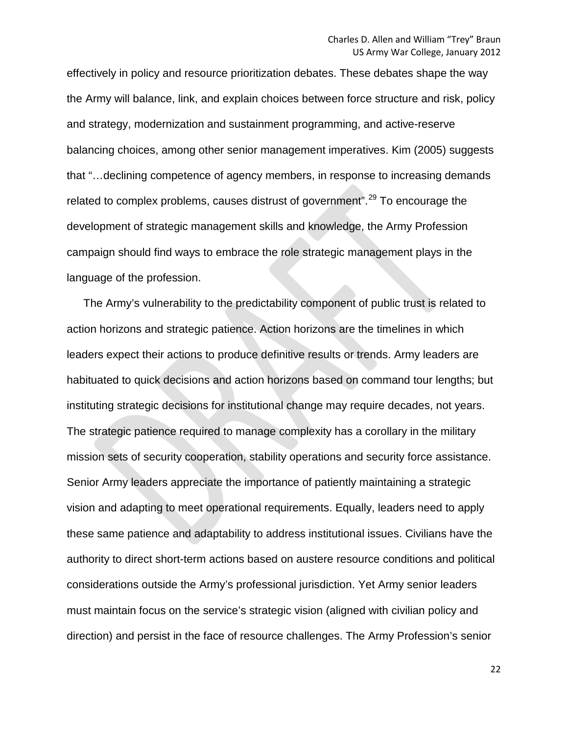effectively in policy and resource prioritization debates. These debates shape the way the Army will balance, link, and explain choices between force structure and risk, policy and strategy, modernization and sustainment programming, and active-reserve balancing choices, among other senior management imperatives. Kim (2005) suggests that "…declining competence of agency members, in response to increasing demands related to complex problems, causes distrust of government".<sup>[29](#page-31-24)</sup> To encourage the development of strategic management skills and knowledge, the Army Profession campaign should find ways to embrace the role strategic management plays in the language of the profession.

The Army's vulnerability to the predictability component of public trust is related to action horizons and strategic patience. Action horizons are the timelines in which leaders expect their actions to produce definitive results or trends. Army leaders are habituated to quick decisions and action horizons based on command tour lengths; but instituting strategic decisions for institutional change may require decades, not years. The strategic patience required to manage complexity has a corollary in the military mission sets of security cooperation, stability operations and security force assistance. Senior Army leaders appreciate the importance of patiently maintaining a strategic vision and adapting to meet operational requirements. Equally, leaders need to apply these same patience and adaptability to address institutional issues. Civilians have the authority to direct short-term actions based on austere resource conditions and political considerations outside the Army's professional jurisdiction. Yet Army senior leaders must maintain focus on the service's strategic vision (aligned with civilian policy and direction) and persist in the face of resource challenges. The Army Profession's senior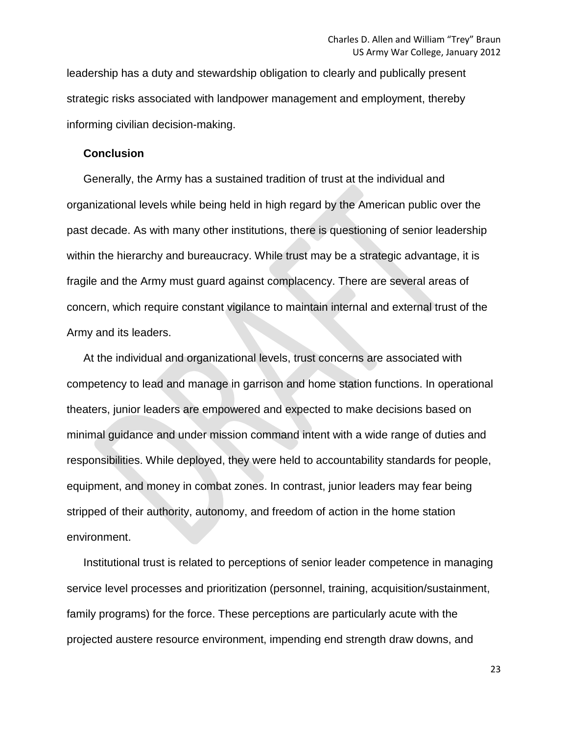leadership has a duty and stewardship obligation to clearly and publically present strategic risks associated with landpower management and employment, thereby informing civilian decision-making.

# **Conclusion**

Generally, the Army has a sustained tradition of trust at the individual and organizational levels while being held in high regard by the American public over the past decade. As with many other institutions, there is questioning of senior leadership within the hierarchy and bureaucracy. While trust may be a strategic advantage, it is fragile and the Army must guard against complacency. There are several areas of concern, which require constant vigilance to maintain internal and external trust of the Army and its leaders.

At the individual and organizational levels, trust concerns are associated with competency to lead and manage in garrison and home station functions. In operational theaters, junior leaders are empowered and expected to make decisions based on minimal guidance and under mission command intent with a wide range of duties and responsibilities. While deployed, they were held to accountability standards for people, equipment, and money in combat zones. In contrast, junior leaders may fear being stripped of their authority, autonomy, and freedom of action in the home station environment.

Institutional trust is related to perceptions of senior leader competence in managing service level processes and prioritization (personnel, training, acquisition/sustainment, family programs) for the force. These perceptions are particularly acute with the projected austere resource environment, impending end strength draw downs, and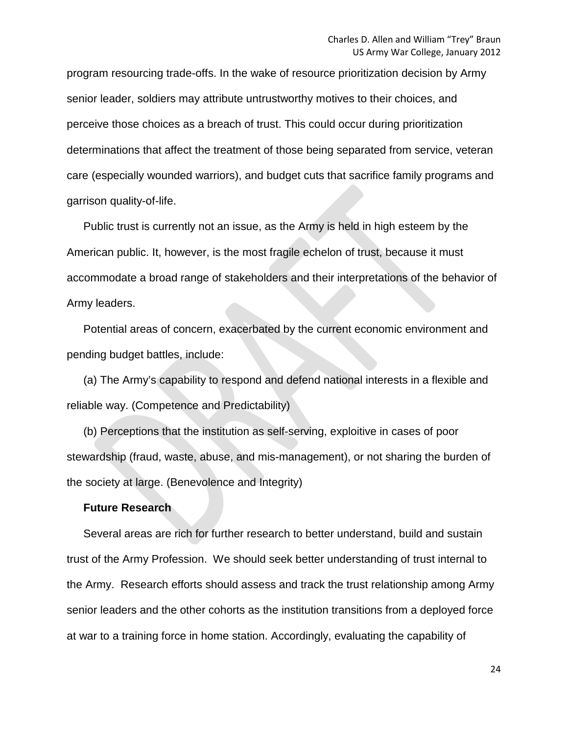program resourcing trade-offs. In the wake of resource prioritization decision by Army senior leader, soldiers may attribute untrustworthy motives to their choices, and perceive those choices as a breach of trust. This could occur during prioritization determinations that affect the treatment of those being separated from service, veteran care (especially wounded warriors), and budget cuts that sacrifice family programs and garrison quality-of-life.

Public trust is currently not an issue, as the Army is held in high esteem by the American public. It, however, is the most fragile echelon of trust, because it must accommodate a broad range of stakeholders and their interpretations of the behavior of Army leaders.

Potential areas of concern, exacerbated by the current economic environment and pending budget battles, include:

(a) The Army's capability to respond and defend national interests in a flexible and reliable way. (Competence and Predictability)

(b) Perceptions that the institution as self-serving, exploitive in cases of poor stewardship (fraud, waste, abuse, and mis-management), or not sharing the burden of the society at large. (Benevolence and Integrity)

### **Future Research**

Several areas are rich for further research to better understand, build and sustain trust of the Army Profession. We should seek better understanding of trust internal to the Army. Research efforts should assess and track the trust relationship among Army senior leaders and the other cohorts as the institution transitions from a deployed force at war to a training force in home station. Accordingly, evaluating the capability of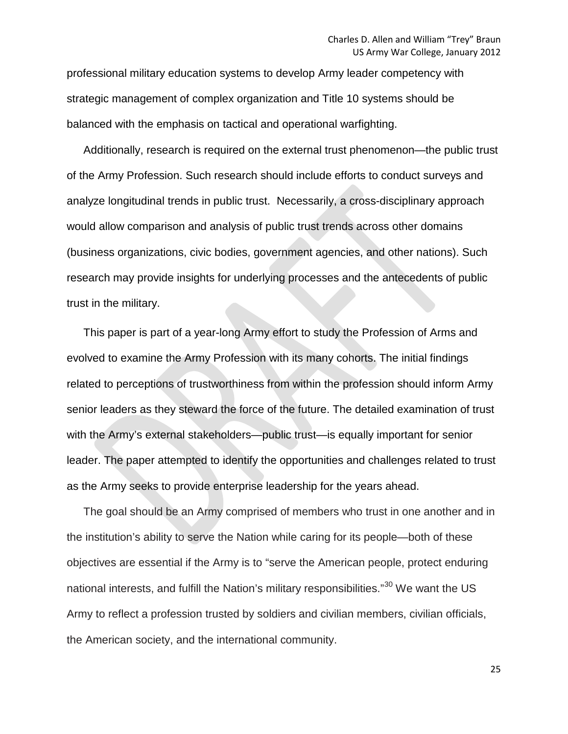professional military education systems to develop Army leader competency with strategic management of complex organization and Title 10 systems should be balanced with the emphasis on tactical and operational warfighting.

Additionally, research is required on the external trust phenomenon—the public trust of the Army Profession. Such research should include efforts to conduct surveys and analyze longitudinal trends in public trust. Necessarily, a cross-disciplinary approach would allow comparison and analysis of public trust trends across other domains (business organizations, civic bodies, government agencies, and other nations). Such research may provide insights for underlying processes and the antecedents of public trust in the military.

This paper is part of a year-long Army effort to study the Profession of Arms and evolved to examine the Army Profession with its many cohorts. The initial findings related to perceptions of trustworthiness from within the profession should inform Army senior leaders as they steward the force of the future. The detailed examination of trust with the Army's external stakeholders—public trust—is equally important for senior leader. The paper attempted to identify the opportunities and challenges related to trust as the Army seeks to provide enterprise leadership for the years ahead.

The goal should be an Army comprised of members who trust in one another and in the institution's ability to serve the Nation while caring for its people—both of these objectives are essential if the Army is to "serve the American people, protect enduring national interests, and fulfill the Nation's military responsibilities."<sup>[30](#page-31-25)</sup> We want the US Army to reflect a profession trusted by soldiers and civilian members, civilian officials, the American society, and the international community.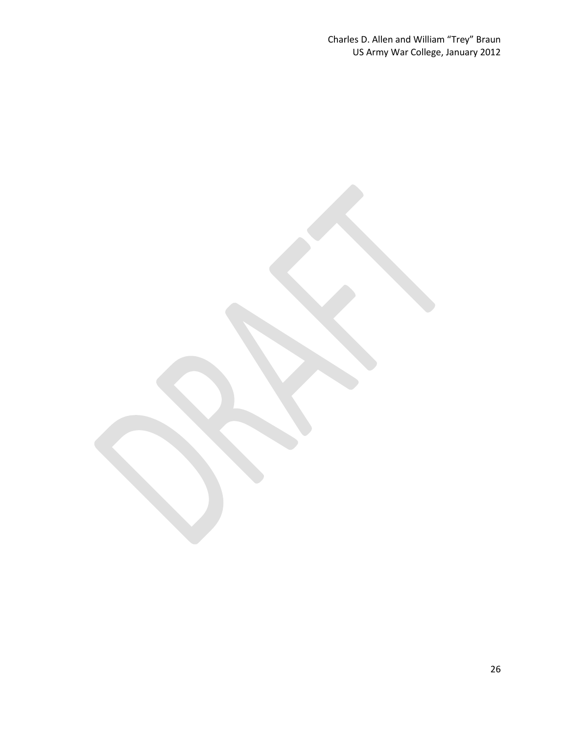26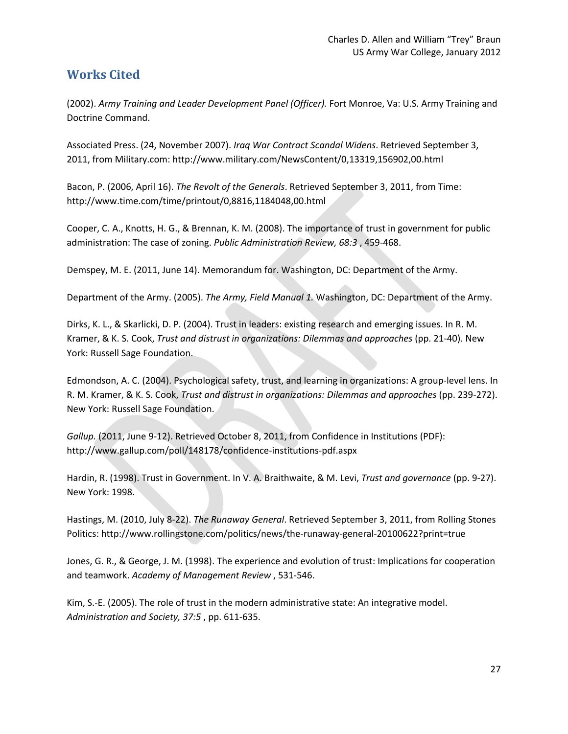# **Works Cited**

(2002). *Army Training and Leader Development Panel (Officer).* Fort Monroe, Va: U.S. Army Training and Doctrine Command.

Associated Press. (24, November 2007). *Iraq War Contract Scandal Widens*. Retrieved September 3, 2011, from Military.com: http://www.military.com/NewsContent/0,13319,156902,00.html

Bacon, P. (2006, April 16). *The Revolt of the Generals*. Retrieved September 3, 2011, from Time: http://www.time.com/time/printout/0,8816,1184048,00.html

Cooper, C. A., Knotts, H. G., & Brennan, K. M. (2008). The importance of trust in government for public administration: The case of zoning. *Public Administration Review, 68:3* , 459-468.

Demspey, M. E. (2011, June 14). Memorandum for. Washington, DC: Department of the Army.

Department of the Army. (2005). *The Army, Field Manual 1.* Washington, DC: Department of the Army.

Dirks, K. L., & Skarlicki, D. P. (2004). Trust in leaders: existing research and emerging issues. In R. M. Kramer, & K. S. Cook, *Trust and distrust in organizations: Dilemmas and approaches* (pp. 21-40). New York: Russell Sage Foundation.

Edmondson, A. C. (2004). Psychological safety, trust, and learning in organizations: A group-level lens. In R. M. Kramer, & K. S. Cook, *Trust and distrust in organizations: Dilemmas and approaches* (pp. 239-272). New York: Russell Sage Foundation.

*Gallup.* (2011, June 9-12). Retrieved October 8, 2011, from Confidence in Institutions (PDF): http://www.gallup.com/poll/148178/confidence-institutions-pdf.aspx

Hardin, R. (1998). Trust in Government. In V. A. Braithwaite, & M. Levi, *Trust and governance* (pp. 9-27). New York: 1998.

Hastings, M. (2010, July 8-22). *The Runaway General*. Retrieved September 3, 2011, from Rolling Stones Politics: http://www.rollingstone.com/politics/news/the-runaway-general-20100622?print=true

Jones, G. R., & George, J. M. (1998). The experience and evolution of trust: Implications for cooperation and teamwork. *Academy of Management Review* , 531-546.

Kim, S.-E. (2005). The role of trust in the modern administrative state: An integrative model. *Administration and Society, 37:5* , pp. 611-635.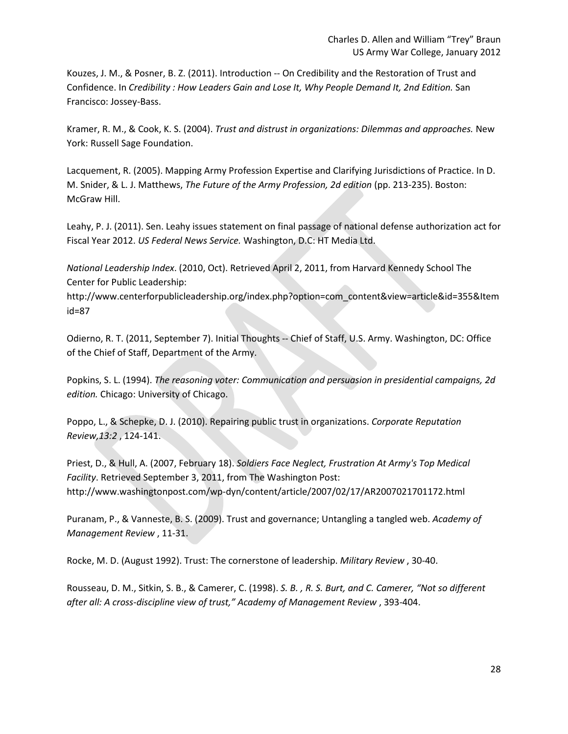Kouzes, J. M., & Posner, B. Z. (2011). Introduction -- On Credibility and the Restoration of Trust and Confidence. In *Credibility : How Leaders Gain and Lose It, Why People Demand It, 2nd Edition.* San Francisco: Jossey-Bass.

Kramer, R. M., & Cook, K. S. (2004). *Trust and distrust in organizations: Dilemmas and approaches.* New York: Russell Sage Foundation.

Lacquement, R. (2005). Mapping Army Profession Expertise and Clarifying Jurisdictions of Practice. In D. M. Snider, & L. J. Matthews, *The Future of the Army Profession, 2d edition* (pp. 213-235). Boston: McGraw Hill.

Leahy, P. J. (2011). Sen. Leahy issues statement on final passage of national defense authorization act for Fiscal Year 2012. *US Federal News Service.* Washington, D.C: HT Media Ltd.

*National Leadership Index*. (2010, Oct). Retrieved April 2, 2011, from Harvard Kennedy School The Center for Public Leadership:

http://www.centerforpublicleadership.org/index.php?option=com\_content&view=article&id=355&Item id=87

Odierno, R. T. (2011, September 7). Initial Thoughts -- Chief of Staff, U.S. Army. Washington, DC: Office of the Chief of Staff, Department of the Army.

Popkins, S. L. (1994). *The reasoning voter: Communication and persuasion in presidential campaigns, 2d edition.* Chicago: University of Chicago.

Poppo, L., & Schepke, D. J. (2010). Repairing public trust in organizations. *Corporate Reputation Review,13:2* , 124-141.

Priest, D., & Hull, A. (2007, February 18). *Soldiers Face Neglect, Frustration At Army's Top Medical Facility*. Retrieved September 3, 2011, from The Washington Post: http://www.washingtonpost.com/wp-dyn/content/article/2007/02/17/AR2007021701172.html

Puranam, P., & Vanneste, B. S. (2009). Trust and governance; Untangling a tangled web. *Academy of Management Review* , 11-31.

Rocke, M. D. (August 1992). Trust: The cornerstone of leadership. *Military Review* , 30-40.

Rousseau, D. M., Sitkin, S. B., & Camerer, C. (1998). *S. B. , R. S. Burt, and C. Camerer, "Not so different after all: A cross-discipline view of trust," Academy of Management Review* , 393-404.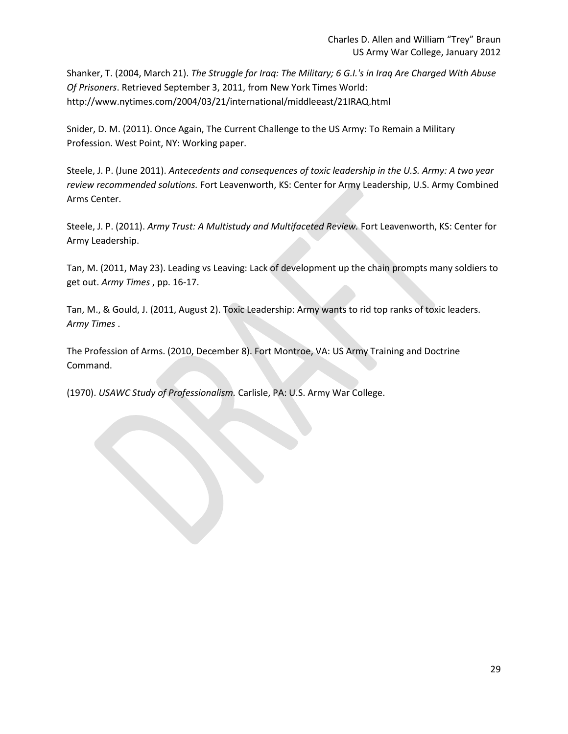Shanker, T. (2004, March 21). *The Struggle for Iraq: The Military; 6 G.I.'s in Iraq Are Charged With Abuse Of Prisoners*. Retrieved September 3, 2011, from New York Times World: http://www.nytimes.com/2004/03/21/international/middleeast/21IRAQ.html

Snider, D. M. (2011). Once Again, The Current Challenge to the US Army: To Remain a Military Profession. West Point, NY: Working paper.

Steele, J. P. (June 2011). *Antecedents and consequences of toxic leadership in the U.S. Army: A two year review recommended solutions.* Fort Leavenworth, KS: Center for Army Leadership, U.S. Army Combined Arms Center.

Steele, J. P. (2011). *Army Trust: A Multistudy and Multifaceted Review.* Fort Leavenworth, KS: Center for Army Leadership.

Tan, M. (2011, May 23). Leading vs Leaving: Lack of development up the chain prompts many soldiers to get out. *Army Times* , pp. 16-17.

Tan, M., & Gould, J. (2011, August 2). Toxic Leadership: Army wants to rid top ranks of toxic leaders. *Army Times* .

The Profession of Arms. (2010, December 8). Fort Montroe, VA: US Army Training and Doctrine Command.

(1970). *USAWC Study of Professionalism.* Carlisle, PA: U.S. Army War College.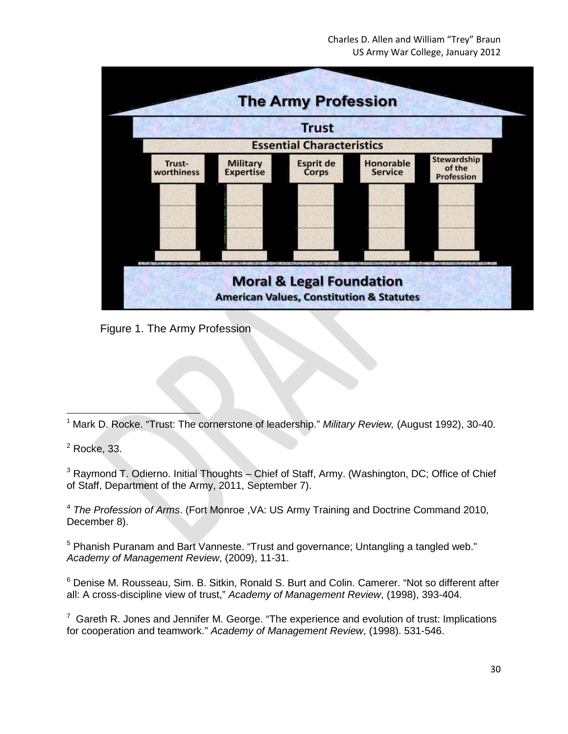

Figure 1. The Army Profession

<sup>1</sup> Mark D. Rocke. "Trust: The cornerstone of leadership." *Military Review,* (August 1992), 30-40.

 $<sup>2</sup>$  Rocke, 33.</sup>

 $\overline{\phantom{0}}$ 

<sup>3</sup> Raymond T. Odierno. Initial Thoughts – Chief of Staff, Army. (Washington, DC; Office of Chief of Staff, Department of the Army, 2011, September 7).

<sup>4</sup> *The Profession of Arms*. (Fort Monroe ,VA: US Army Training and Doctrine Command 2010, December 8).

<sup>5</sup> Phanish Puranam and Bart Vanneste. "Trust and governance; Untangling a tangled web." *Academy of Management Review*, (2009), 11-31.

<sup>6</sup> Denise M. Rousseau, Sim. B. Sitkin, Ronald S. Burt and Colin. Camerer. "Not so different after all: A cross-discipline view of trust," *Academy of Management Review*, (1998), 393-404.

 $7$  Gareth R. Jones and Jennifer M. George. "The experience and evolution of trust: Implications for cooperation and teamwork." *Academy of Management Review*, (1998). 531-546.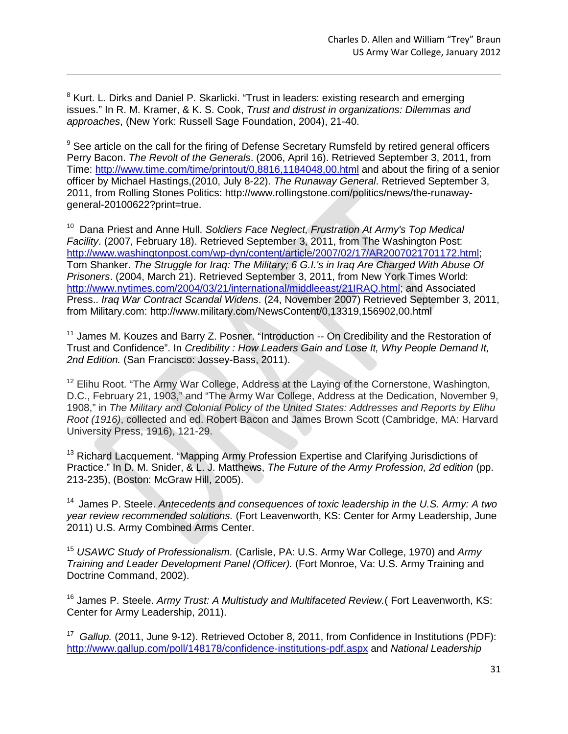<sup>8</sup> Kurt. L. Dirks and Daniel P. Skarlicki. "Trust in leaders: existing research and emerging issues." In R. M. Kramer, & K. S. Cook, *Trust and distrust in organizations: Dilemmas and approaches*, (New York: Russell Sage Foundation, 2004), 21-40.

 $\overline{\phantom{0}}$ 

 $9$  See article on the call for the firing of Defense Secretary Rumsfeld by retired general officers Perry Bacon. *The Revolt of the Generals*. (2006, April 16). Retrieved September 3, 2011, from Time:<http://www.time.com/time/printout/0,8816,1184048,00.html> and about the firing of a senior officer by Michael Hastings,(2010, July 8-22). *The Runaway General*. Retrieved September 3, 2011, from Rolling Stones Politics: http://www.rollingstone.com/politics/news/the-runawaygeneral-20100622?print=true.

10 Dana Priest and Anne Hull. *Soldiers Face Neglect, Frustration At Army's Top Medical Facility*. (2007, February 18). Retrieved September 3, 2011, from The Washington Post: [http://www.washingtonpost.com/wp-dyn/content/article/2007/02/17/AR2007021701172.html;](http://www.washingtonpost.com/wp-dyn/content/article/2007/02/17/AR2007021701172.html) Tom Shanker. *The Struggle for Iraq: The Military; 6 G.I.'s in Iraq Are Charged With Abuse Of Prisoners*. (2004, March 21). Retrieved September 3, 2011, from New York Times World: [http://www.nytimes.com/2004/03/21/international/middleeast/21IRAQ.html;](http://www.nytimes.com/2004/03/21/international/middleeast/21IRAQ.html) and Associated Press.. *Iraq War Contract Scandal Widens*. (24, November 2007) Retrieved September 3, 2011, from Military.com: http://www.military.com/NewsContent/0,13319,156902,00.html

<sup>11</sup> James M. Kouzes and Barry Z. Posner. "Introduction -- On Credibility and the Restoration of Trust and Confidence". In *Credibility : How Leaders Gain and Lose It, Why People Demand It, 2nd Edition.* (San Francisco: Jossey-Bass, 2011).

<sup>12</sup> Elihu Root. "The Army War College, Address at the Laving of the Cornerstone, Washington, D.C., February 21, 1903," and "The Army War College, Address at the Dedication, November 9, 1908," in *The Military and Colonial Policy of the United States: Addresses and Reports by Elihu Root (1916)*, collected and ed. Robert Bacon and James Brown Scott (Cambridge, MA: Harvard University Press, 1916), 121-29.

<span id="page-30-2"></span><span id="page-30-1"></span><span id="page-30-0"></span><sup>13</sup> Richard Lacquement. "Mapping Army Profession Expertise and Clarifying Jurisdictions of Practice." In D. M. Snider, & L. J. Matthews, *The Future of the Army Profession, 2d edition* (pp. 213-235), (Boston: McGraw Hill, 2005).

<span id="page-30-3"></span><sup>14</sup> James P. Steele. *Antecedents and consequences of toxic leadership in the U.S. Army: A two year review recommended solutions.* (Fort Leavenworth, KS: Center for Army Leadership, June 2011) U.S. Army Combined Arms Center.

<sup>15</sup> *USAWC Study of Professionalism.* (Carlisle, PA: U.S. Army War College, 1970) and *Army Training and Leader Development Panel (Officer).* (Fort Monroe, Va: U.S. Army Training and Doctrine Command, 2002).

<sup>16</sup> James P. Steele. *Army Trust: A Multistudy and Multifaceted Review.*( Fort Leavenworth, KS: Center for Army Leadership, 2011).

17 *Gallup.* (2011, June 9-12). Retrieved October 8, 2011, from Confidence in Institutions (PDF): <http://www.gallup.com/poll/148178/confidence-institutions-pdf.aspx> and *National Leadership*